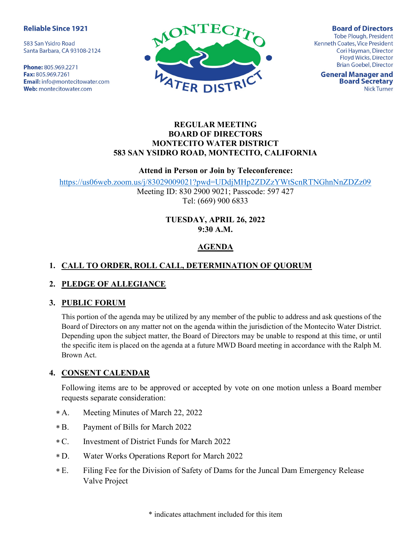#### **Reliable Since 1921**

583 San Ysidro Road Santa Barbara, CA 93108-2124

Phone: 805.969.2271 Fax: 805.969.7261 **Email:** info@montecitowater.com Web: montecitowater.com



**Board of Directors Tobe Plough, President** Kenneth Coates, Vice President Cori Hayman, Director Floyd Wicks, Director **Brian Goebel, Director** 

**General Manager and Board Secretary Nick Turner** 

#### REGULAR MEETING BOARD OF DIRECTORS MONTECITO WATER DISTRICT 583 SAN YSIDRO ROAD, MONTECITO, CALIFORNIA

#### Attend in Person or Join by Teleconference:

https://us06web.zoom.us/j/83029009021?pwd=UDdjMHp2ZDZzYWtScnRTNGhnNnZDZz09

Meeting ID: 830 2900 9021; Passcode: 597 427 Tel: (669) 900 6833

#### TUESDAY, APRIL 26, 2022 9:30 A.M.

# AGENDA

# 1. CALL TO ORDER, ROLL CALL, DETERMINATION OF QUORUM

# 2. PLEDGE OF ALLEGIANCE

# 3. PUBLIC FORUM

This portion of the agenda may be utilized by any member of the public to address and ask questions of the Board of Directors on any matter not on the agenda within the jurisdiction of the Montecito Water District. Depending upon the subject matter, the Board of Directors may be unable to respond at this time, or until the specific item is placed on the agenda at a future MWD Board meeting in accordance with the Ralph M. Brown Act.

# 4. CONSENT CALENDAR

Following items are to be approved or accepted by vote on one motion unless a Board member requests separate consideration:

- Meeting Minutes of March 22, 2022  $* A.$
- Payment of Bills for March 2022  $* B.$
- C. Investment of District Funds for March 2022  $*$  C.
- Water Works Operations Report for March 2022  $*D.$
- Filing Fee for the Division of Safety of Dams for the Juncal Dam Emergency Release Valve Project  $*E$ .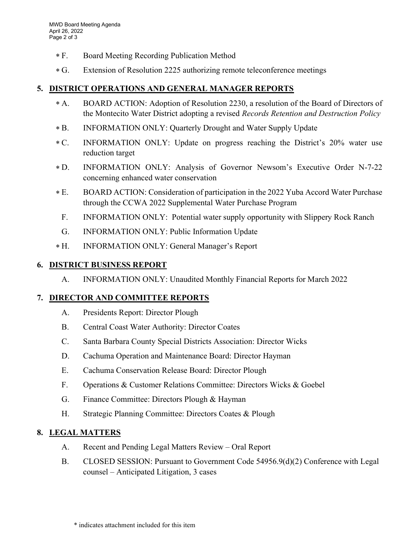- Board Meeting Recording Publication Method  $*F.$
- Extension of Resolution 2225 authorizing remote teleconference meetings  $*G.$

#### 5. DISTRICT OPERATIONS AND GENERAL MANAGER REPORTS

- BOARD ACTION: Adoption of Resolution 2230, a resolution of the Board of Directors of the Montecito Water District adopting a revised Records Retention and Destruction Policy  $* A$ .
- INFORMATION ONLY: Quarterly Drought and Water Supply Update  $* B.$
- INFORMATION ONLY: Update on progress reaching the District's 20% water use reduction target  $*C.$
- D. INFORMATION ONLY: Analysis of Governor Newsom's Executive Order N-7-22 concerning enhanced water conservation  $*D.$
- E. BOARD ACTION: Consideration of participation in the 2022 Yuba Accord Water Purchase through the CCWA 2022 Supplemental Water Purchase Program  $*E.$ 
	- F. INFORMATION ONLY: Potential water supply opportunity with Slippery Rock Ranch
	- G. INFORMATION ONLY: Public Information Update
- H. INFORMATION ONLY: General Manager's Report  $*H.$

#### 6. DISTRICT BUSINESS REPORT

A. INFORMATION ONLY: Unaudited Monthly Financial Reports for March 2022

#### 7. DIRECTOR AND COMMITTEE REPORTS

- A. Presidents Report: Director Plough
- B. Central Coast Water Authority: Director Coates
- C. Santa Barbara County Special Districts Association: Director Wicks
- D. Cachuma Operation and Maintenance Board: Director Hayman
- E. Cachuma Conservation Release Board: Director Plough
- F. Operations & Customer Relations Committee: Directors Wicks & Goebel
- G. Finance Committee: Directors Plough & Hayman
- H. Strategic Planning Committee: Directors Coates & Plough

# 8. LEGAL MATTERS

- A. Recent and Pending Legal Matters Review Oral Report
- B. CLOSED SESSION: Pursuant to Government Code 54956.9(d)(2) Conference with Legal counsel – Anticipated Litigation, 3 cases